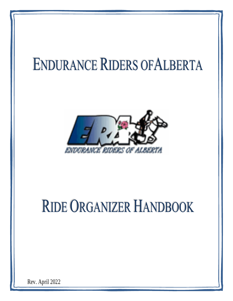# **ENDURANCE RIDERS OF ALBERTA**



# RIDE ORGANIZER HANDBOOK

Rev. April 2022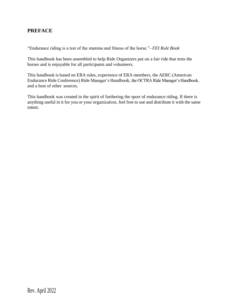## **PREFACE**

"Endurance riding is a test of the stamina and fitness of the horse."- *FEI Rule Book*

This handbook has been assembled to help Ride Organizers put on a fair ride that tests the horses and is enjoyable for all participants and volunteers.

This handbook is based on ERA rules, experience of ERA members, the AERC (American Endurance Ride Conference) Ride Manager's Handbook, the OCTRA Ride Manager's Handbook, and a host of other sources.

This handbook was created in the spirit of furthering the sport of endurance riding. If there is anything useful in it for you or your organization, feel free to use and distribute it with the same intent.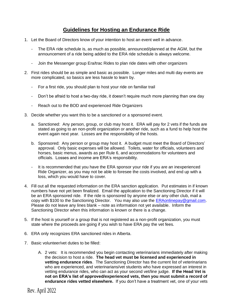# **Guidelines for Hosting an Endurance Ride**

- 1. Let the Board of Directors know of your intention to host an event well in advance.
	- The ERA ride schedule is, as much as possible, announced/planned at the AGM, but the announcement of a ride being added to the ERA ride schedule is always welcome.
	- Join the Messenger group Era/trac Rides to plan ride dates with other organizers
- 2. First rides should be as simple and basic as possible. Longer miles and multi day events are more complicated, so basics are less hassle to learn by.
	- For a first ride, you should plan to host your ride on familiar trail
	- Don't be afraid to host a two-day ride, it doesn't require much more planning than one day
	- Reach out to the BOD and experienced Ride Organizers
- 3. Decide whether you want this to be a sanctioned or a sponsored event.
	- a. Sanctioned: Any person, group, or club may host it. ERA will pay for 2 vets if the funds are stated as going to an non-profit organization or another ride, such as a fund to help host the event again next year. Losses are the responsibility of the hosts.
	- b. Sponsored: Any person or group may host it. A budget must meet the Board of Directors' approval. Only basic expenses will be allowed. Toilets, water for officials, volunteers and horses, basic menus, awards as per Rule 6, and accommodations for volunteers and officials. Losses and income are ERA's responsibility.
	- It is recommended that you have the ERA sponsor your ride if you are an inexperienced Ride Organizer, as you may not be able to foresee the costs involved, and end up with a loss, which you would have to cover.
- 4. Fill out all the requested information on the ERA sanction application. Put estimates in if known numbers have not yet been finalized. Email the application to the Sanctioning Director if it will be an ERA sponsored ride. If the ride is sponsored by anyone else or any other club, mail a copy with \$100 to the Sanctioning Director. You may also use the [ERAonlinepay@gmail.com.](mailto:ERAonlinepay@gmail.com) Please do not leave any lines blank – note as information not yet available. Inform the Sanctioning Director when this information is known or there is a change.
- 5. If the host is yourself or a group that is not registered as a non-profit organization, you must state where the proceeds are going if you wish to have ERA pay the vet fees.
- 6. ERA only recognizes ERA sanctioned rides in Alberta.
- 7. Basic volunteer/vet duties to be filled:
	- A. 2 vets: It is recommended you begin contacting veterinarians immediately after making the decision to host a ride. **The head vet must be licensed and experienced in vetting endurance rides**. The Sanctioning Director has the current list of veterinarians who are experienced, and veterinarians/vet students who have expressed an interest in vetting endurance rides, who can act as your second vet/line judge. **If the Head Vet is not on ERA's list of approved/experienced vets, then you must submit a record of endurance rides vetted elsewhere.** If you don't have a treatment vet, one of your vets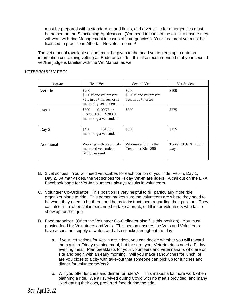must be prepared with a standard kit and fluids, and a vet clinic for emergencies must be named on the Sanctioning Application. (You need to contact the clinic to ensure they will work with ride Management in cases of emergencies.) Your treatment vet must be licensed to practice in Alberta. No vets – no ride!

The vet manual (available online) must be given to the head vet to keep up to date on information concerning vetting an Endurance ride. It is also recommended that your second vet/line judge is familiar with the Vet Manual as well.

| Vet-In     | <b>Head Vet</b>                                                                            | Second Vet                                                | Vet Student                    |
|------------|--------------------------------------------------------------------------------------------|-----------------------------------------------------------|--------------------------------|
| Vet - In   | \$200<br>\$300 if one vet present<br>vets in $30+$ horses, or is<br>mentoring vet students | \$200<br>\$300 if one vet present<br>vets in $30+$ horses | \$100                          |
| Day 1      | $+\$100/75$ or<br>\$600<br>$+$ \$200/100 $+$ \$200 if<br>mentoring a vet student           | \$550                                                     | \$275                          |
| Day 2      | \$400<br>$+\$100$ if<br>mentoring a vet student                                            | \$350                                                     | \$175                          |
| Additional | Working with previously<br>mentored vet student<br>\$150/weekend                           | Whomever brings the<br>Treatment Kit - \$50               | Travel: \$0.61/km both<br>ways |

#### *VETERINARIAN FEES*

- B. 2 vet scribes: You will need vet scribes for each portion of your ride: Vet-In, Day 1, Day 2. At many rides, the vet scribes for Friday Vet-In are riders. A call out on the ERA Facebook page for Vet-In volunteers always results in volunteers.
- C. Volunteer Co-Ordinator: This position is very helpful to fill, particularly if the ride organizer plans to ride. This person makes sure the volunteers are where they need to be when they need to be there, and helps to instruct them regarding their position. They can also fill in when volunteers need to take a break, or fill in for volunteers who fail to show up for their job.
- D. Food organizer: (Often the Volunteer Co-Ordinator also fills this position): You must provide food for Volunteers and Vets. This person ensures the Vets and Volunteers have a constant supply of water, and also snacks throughout the day.
	- a. If your vet scribes for Vet-In are riders, you can decide whether you will reward them with a Friday evening meal, but for sure, your Veterinarians need a Friday evening meal. Plan breakfasts for your volunteers and veterinarians who are on site and begin with an early morning. Will you make sandwiches for lunch, or are you close to a city with take-out that someone can pick up for lunches and dinner for volunteers/Vets?
	- b. Will you offer lunches and dinner for riders? This makes a lot more work when planning a ride. We all survived during Covid with no meals provided, and many liked eating their own, preferred food during the ride.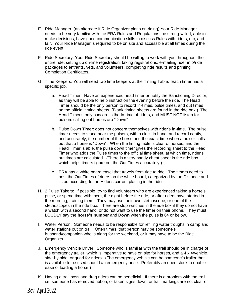- E. Ride Manager: (an alternate if Ride Organizer plans on riding) Your Ride Manager needs to be very familiar with the ERA Rules and Regulations, be strong-willed, able to make decisions, have good communication skills to discuss Rules with riders, etc, and fair. Your Ride Manager is required to be on site and accessible at all times during the ride event.
- F. Ride Secretary: Your Ride Secretary should be willing to work with you throughout the entire ride; setting up on-line registration, taking registrations, e-mailing rider info/ride packages to entrants, vets, and volunteers, completing ride results and printing Completion Certificates.
- G. Time Keepers: You will need two time keepers at the Timing Table. Each timer has a specific job.
	- a. Head Timer: Have an experienced head timer or notify the Sanctioning Director, as they will be able to help instruct on the evening before the ride. The Head Timer should be the only person to record In-times, pulse times, and out times on the official timing sheets. (Blank timing sheets are found in the ride box.) The Head Timer's only concern is the In-time of riders, and MUST NOT listen for pulsers calling out horses are "Down"
	- b. Pulse Down Timer: does not concern themselves with rider's In-time. The pulse timer needs to stand near the pulsers, with a clock in hand, and record neatly, and accurately, the number of the horse and the exact time when a pulser calls out that a horse is "Down". When the timing table is clear of horses, and the Head Timer is able, the pulse down timer gives the recording sheet to the Head Timer who adds the Pulse times to the official time sheet, at which time, rider's out times are calculated. (There is a very handy cheat sheet in the ride box which helps timers figure out the Out Times accurately.)
	- c. ERA has a white board easel that travels from ride to ride. The timers need to post the Out Times of riders on the white board, categorized by the Distance and listed according to the Rider's current placing in the ride.
- H. 2 Pulse Takers: If possible, try to find volunteers who are experienced taking a horse's pulse, or spend time with them, the night before the ride, or after riders have started in the morning, training them. They may use their own stethoscope, or one of the stethoscopes in the ride box. There are stop watches in the ride box if they do not have a watch with a second hand, or do not want to use the timer on their phone. They must LOUDLY say the **horse's number** and **Down** when the pulse is 64 or below.
- I. Water Person: Someone needs to be responsible for refilling water troughs in camp and water stations out on trail. Often times, that person may be someone's husband/companion who is along for the weekend, or it may have to be the Ride Organizer.
- J. Emergency Vehicle Driver: Someone who is familiar with the trail should be in charge of the emergency trailer, which is imperative to have on site for horses, and a 4 x 4/vehicle, side-by-side, or quad for riders. (The emergency vehicle can be someone's trailer that is available to be used should an emergency arise. Preferably an open stock to enable ease of loading a horse.)
- K. Having a trail boss and drag riders can be beneficial. If there is a problem with the trail i.e. someone has removed ribbon, or taken signs down, or trail markings are not clear or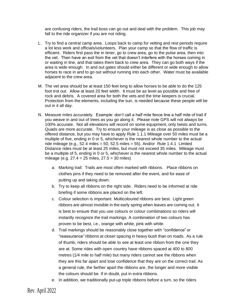are confusing riders, the trail boss can go out and deal with the problem. This job may fall to the ride organizer if you are not riding.

- L. Try to find a central camp area. Loops back to camp for vetting and rest periods require a lot less work and officials/volunteers. Plan your camp so that the flow of traffic is efficient. Riders first pass the in timer, go to crew area, go to the pulse area, then into the vet. Then have an exit from the vet that doesn't interfere with the horses coming in or waiting in line, and that takes them back to crew area. They can go both ways if the area is wide enough. In and out gates should either be different or wide enough to allow horses to race in and to go out without running into each other. Water must be available adjacent to the crew area.
- M. The vet area should be at least 150 feet long to allow horses to be able to do the 125 foot trot out. Allow at least 20 feet width. It must be as level as possible and free of rock and debris. A covered area for both the vets and the time keepers is crucial. Protection from the elements, including the sun, is needed because these people will be out in it all day.
- N. Measure miles accurately. Example: don't call a half mile fence line a half mile of trail if you weave in and out of trees as you go along it. Please note GPS will not always be 100% accurate. Not all elevations will record on some equipment, only twists and turns. Quads are more accurate. Try to ensure your mileage is as close as possible to the offered distance, but you may have to apply Rule 1.1.1 Mileage over 50 miles must be a multiple of five, ending in 0 or 5, whichever is the nearest whole number to the actual ride mileage (e.g., 52.4 miles = 50, 52.5 miles = 55). And/or Rule 1.4.1 Limited Distance rides must be at least 25 miles, but must not exceed 35 miles. Mileage must be a multiple of 5, ending in 0 or 5, whichever is the nearest whole number to the actual mileage (e.g. 27.4 = 25 miles, 27.5 = 30 miles)
	- a. Marking trail: Trails are most often marked with ribbons. Place ribbons on clothes pins if they need to be removed after the event, and for ease of putting up and taking down.
	- b. Try to keep all ribbons on the right side. Riders need to be informed at ride briefing if some ribbons are placed on the left.
	- c. Colour selection is important. Multicoloured ribbons are best. Light green ribbons are almost invisible in the early spring when leaves are coming out. It is best to ensure that you use colours or colour combinations so riders will instantly recognize the trail markings. A combination of two colours has proven to be best, i.e., orange with white, pink with white.
	- d. Trail markings should be reasonably close together with "confidence" or "reassurance" ribbons at closer spacing in heavy bush than on roads. As a rule of thumb, riders should be able to see at least one ribbon from the one they are at. Some rides with open country have ribbons spaced at 400 to 800 metres (1/4 mile to half mile) but many riders cannot see the ribbons when they are this far apart and lose confidence that they are on the correct trail. As a general rule, the farther apart the ribbons are, the longer and more visible the colours should be. If in doubt, put in extra ribbons.
	- e. In addition, we traditionally put-up triple ribbons before a turn, so the riders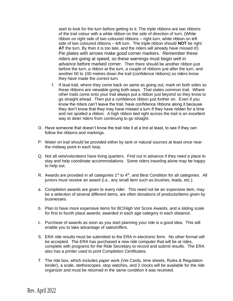start to look for the turn before getting to it. The triple ribbons are two ribbons of the trail colour with a white ribbon on the side of direction of turn. (White ribbon on right side of two coloured ribbons – right turn, white ribbon on left side of two coloured ribbons – left turn. The triple ribbon should **NOT** be right **AT** the turn. By then it is too late, and the riders will already have missed it!) Pie plates with arrows make good corner markers. Remember these riders are going at speed, so these warnings must begin well in advance before marked corner. Then there should be another ribbon just before the turn, a ribbon at the turn, a couple of ribbons just after the turn, and another 50 to 100 metres down the trail (confidence ribbons) so riders know they have made the correct turn.

- f. If dual trail, where they come back on same as going out, mark on both sides so these ribbons are viewable going both ways. That states common trail. Where other trails come onto your trail always put a ribbon just beyond so they know to go straight ahead. Then put a confidence ribbon just further on. Even if you know the riders can't leave the trail, have confidence ribbons along it because they don't know that they may have missed a turn if they have ridden for a time and not spotted a ribbon. A high ribbon tied right across the trail is an excellent way to deter riders from continuing to go straight.
- O. Have someone that doesn't know the trail ride it at a trot at least, to see if they can follow the ribbons and markings.
- P. Water on trail should be provided either by tank or natural sources at least once near the midway point in each loop.
- Q. Not all vets/volunteers have living quarters. Find out in advance if they need a place to stay and help coordinate accommodations. Some riders traveling alone may be happy to help out.
- R. Awards are provided in all categories  $1<sup>st</sup>$  to  $4<sup>th</sup>$ , and Best Condition for all categories. All juniors must receive an award (i.e., any small item such as brushes, leads, etc.).
- a. Completion awards are given to every rider. This need not be an expensive item, may be a selection of several different items, are often donations of products/items given by businesses.
- b. Plan to have more expensive items for BC/High Vet Score Awards, and a sliding scale for first to fourth place awards; awarded in each age category in each distance.
- c. Purchase of awards as soon as you start planning your ride is a good idea. This will enable you to take advantage of sales/offers.
- S. ERA ride results must be submitted to the ERA in electronic form. No other format will be accepted. The ERA has purchased a new ride computer that will be at rides, complete with programs for the Ride Secretary to record and submit results. The ERA also has a printer used to print Completion Certificates.
- T. The ride box, which includes paper work (Vet Cards, time sheets, Rules & Regulation binder), a scale, stethoscopes, stop watches, and 2 clocks will be available for the ride organizer and must be returned in the same condition it was received.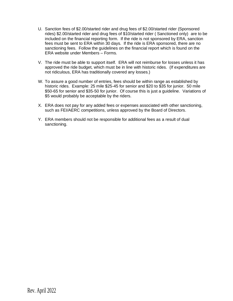- U. Sanction fees of \$2.00/started rider and drug fees of \$2.00/started rider (Sponsored rides) \$2.00/started rider and drug fees of \$10/started rider ( Sanctioned only) are to be included on the financial reporting form. If the ride is not sponsored by ERA, sanction fees must be sent to ERA within 30 days. If the ride is ERA sponsored, there are no sanctioning fees. Follow the guidelines on the financial report which is found on the ERA website under Members – Forms.
- V. The ride must be able to support itself. ERA will not reimburse for losses unless it has approved the ride budget, which must be in line with historic rides. (If expenditures are not ridiculous, ERA has traditionally covered any losses.)
- W. To assure a good number of entries, fees should be within range as established by historic rides. Example: 25 mile \$25-45 for senior and \$20 to \$35 for junior. 50 mile \$50-65 for senior and \$35-50 for junior. Of course this is just a guideline. Variations of \$5 would probably be acceptable by the riders.
- X. ERA does not pay for any added fees or expenses associated with other sanctioning, such as FEI/AERC competitions, unless approved by the Board of Directors.
- Y. ERA members should not be responsible for additional fees as a result of dual sanctioning.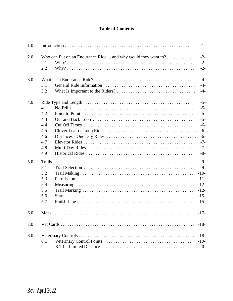## **Table of Contents**

| 1.0 |                                                                             | $-1-$                                                                                  |
|-----|-----------------------------------------------------------------------------|----------------------------------------------------------------------------------------|
| 2.0 | Who can Put on an Endurance Ride  and why would they want to?<br>2.1<br>2.2 | $-2-$<br>$-2-$<br>$-2-$                                                                |
| 3.0 | 3.1<br>3.2                                                                  | $-4-$<br>$-4-$<br>$-4-$                                                                |
| 4.0 | 4.1<br>4.2<br>4.3<br>4.4<br>4.5<br>4.6<br>4.7<br>4.8<br>4.9                 | $-5-$<br>$-5-$<br>$-5-$<br>$-5-$<br>$-6-$<br>$-6-$<br>$-6-$<br>$-7-$<br>$-7-$<br>$-8-$ |
| 5.0 | 5.1<br>5.2<br>5.3<br>$-11-$<br>5.4<br>5.5<br>5.6<br>5.7                     | $-9-$<br>$-9-$<br>$-10-$<br>$-12-$<br>$-12-$<br>$-15-$<br>$-15-$                       |
| 6.0 |                                                                             | $-17-$                                                                                 |
| 7.0 |                                                                             |                                                                                        |
| 8.0 | 8.1<br>$-20-$                                                               | $-18-$<br>$-19-$                                                                       |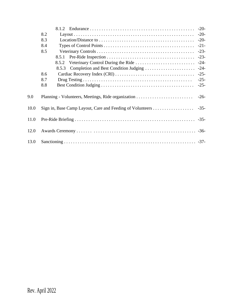|      |                                             | $-20-$ |
|------|---------------------------------------------|--------|
|      | 8.2                                         | $-20-$ |
|      | 8.3                                         | $-20-$ |
|      | 8.4                                         | $-21-$ |
|      | 8.5                                         | $-23-$ |
|      | 8.5.1                                       | $-23-$ |
|      | 8.5.2                                       | $-24-$ |
|      | 8.5.3 Completion and Best Condition Judging | $-24-$ |
|      | 8.6                                         | $-25-$ |
|      | 8.7                                         | $-25-$ |
|      | 8.8                                         | $-25-$ |
| 9.0  |                                             | $-26-$ |
| 10.0 |                                             |        |
| 11.0 |                                             |        |
| 12.0 |                                             |        |
| 13.0 |                                             |        |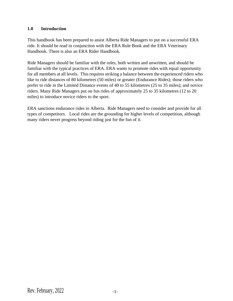## **1.0 Introduction**

This handbook has been prepared to assist Alberta Ride Managers to put on a successful ERA ride. It should be read in conjunction with the ERA Rule Book and the ERA Veterinary Handbook. There is also an ERA Rider Handbook.

Ride Managers should be familiar with the rules, both written and unwritten, and should be familiar with the typical practices of ERA. ERA wants to promote rides with equal opportunity for all members at all levels. This requires striking a balance between the experienced riders who like to ride distances of 80 kilometres (50 miles) or greater (Endurance Rides); those riders who prefer to ride in the Limited Distance events of 40 to 55 kilometres (25 to 35 miles); and novice riders. Many Ride Managers put on fun rides of approximately 25 to 35 kilometres (12 to 20 miles) to introduce novice riders to the sport.

ERA sanctions endurance rides in Alberta. Ride Managers need to consider and provide for all types of competitors. Local rides are the grounding for higher levels of competition, although many riders never progress beyond riding just for the fun of it.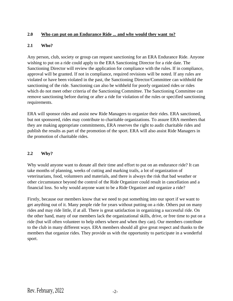## **2.0 Who can put on an Endurance Ride ... and why would they want to?**

## **2.1 Who?**

Any person, club, society or group can request sanctioning for an ERA Endurance Ride. Anyone wishing to put on a ride could apply to the ERA Sanctioning Director for a ride date. The Sanctioning Director will review the application for compliance with the rules. If in compliance, approval will be granted. If not in compliance, required revisions will be noted. If any rules are violated or have been violated in the past, the Sanctioning Director/Committee can withhold the sanctioning of the ride. Sanctioning can also be withheld for poorly organized rides or rides which do not meet other criteria of the Sanctioning Committee. The Sanctioning Committee can remove sanctioning before during or after a ride for violation of the rules or specified sanctioning requirements.

ERA will sponsor rides and assist new Ride Managers to organize their rides. ERA sanctioned, but not sponsored, rides may contribute to charitable organizations. To assure ERA members that they are making appropriate commitments, ERA reserves the right to audit charitable rides and publish the results as part of the promotion of the sport. ERA will also assist Ride Managers in the promotion of charitable rides.

## **2.2 Why?**

Why would anyone want to donate all their time and effort to put on an endurance ride? It can take months of planning, weeks of cutting and marking trails, a lot of organization of veterinarians, food, volunteers and materials, and there is always the risk that bad weather or other circumstance beyond the control of the Ride Organizer could result in cancellation and a financial loss. So why would anyone want to be a Ride Organizer and organize a ride?

Firstly, because our members know that we need to put something into our sport if we want to get anything out of it. Many people ride for years without putting on a ride. Others put on many rides and may ride little, if at all. There is great satisfaction in organizing a successful ride. On the other hand, many of our members lack the organizational skills, drive, or free time to put on a ride (but will often volunteer to help others where and when they can). Our members contribute to the club in many different ways. ERA members should all give great respect and thanks to the members that organize rides. They provide us with the opportunity to participate in a wonderful sport.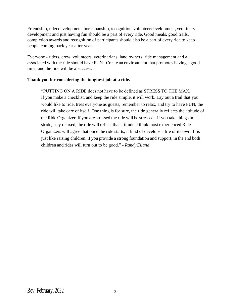Friendship, rider development, horsemanship, recognition, volunteer development, veterinary development and just having fun should be a part of every ride. Good meals, good trails, completion awards and recognition of participants should also be a part of every ride to keep people coming back year after year.

Everyone - riders, crew, volunteers, veterinarians, land owners, ride management and all associated with the ride should have FUN. Create an environment that promotes having a good time, and the ride will be a success.

#### **Thank you for considering the toughest job at a ride.**

"PUTTING ON A RIDE does not have to be defined as STRESS TO THE MAX. If you make a checklist, and keep the ride simple, it will work. Lay out a trail that you would like to ride, treat everyone as guests, remember to relax, and try to have FUN, the ride will take care of itself. One thing is for sure, the ride generally reflects the attitude of the Ride Organizer, if you are stressed the ride will be stressed...if you take things in stride, stay relaxed, the ride will reflect that attitude. I think most experienced Ride Organizers will agree that once the ride starts, it kind of develops a life of its own. It is just like raising children, if you provide a strong foundation and support, in the end both children and rides will turn out to be good." - *RandyEiland*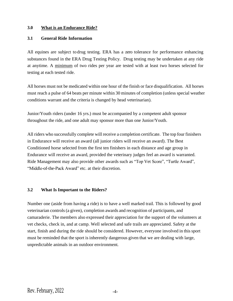#### **3.0 What is an Endurance Ride?**

#### **3.1 General Ride Information**

All equines are subject to drug testing. ERA has a zero tolerance for performance enhancing substances found in the ERA Drug Testing Policy. Drug testing may be undertaken at any ride at anytime. A minimum of two rides per year are tested with at least two horses selected for testing at each tested ride.

All horses must not be medicated within one hour of the finish or face disqualification. All horses must reach a pulse of 64 beats per minute within 30 minutes of completion (unless special weather conditions warrant and the criteria is changed by head veterinarian).

Junior/Youth riders (under 16 yrs.) must be accompanied by a competent adult sponsor throughout the ride, and one adult may sponsor more than one Junior/Youth.

All riders who successfully complete will receive a completion certificate. The top four finishers in Endurance will receive an award (all junior riders will receive an award). The Best Conditioned horse selected from the first ten finishers in each distance and age group in Endurance will receive an award, provided the veterinary judges feel an award is warranted. Ride Management may also provide other awards such as "Top Vet Score", "Turtle Award", "Middle-of-the-Pack Award" etc. at their discretion.

## **3.2 What Is Important to the Riders?**

Number one (aside from having a ride) is to have a well marked trail. This is followed by good veterinarian controls (a given), completion awards and recognition of participants, and camaraderie. The members also expressed their appreciation for the support of the volunteers at vet checks, check in, and at camp. Well selected and safe trails are appreciated. Safety at the start, finish and during the ride should be considered. However, everyone involved in this sport must be reminded that the sport is inherently dangerous given that we are dealing with large, unpredictable animals in an outdoor environment.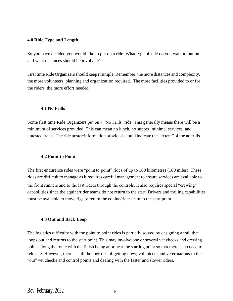#### **4.0 Ride Type and Length**

So you have decided you would like to put on a ride. What type of ride do you want to put on and what distances should be involved?

First time Ride Organizers should keep it simple. Remember, the more distances and complexity, the more volunteers, planning and organization required. The more facilities provided to or for the riders, the more effort needed.

#### **4.1 No Frills**

Some first time Ride Organizers put on a "No Frills" ride. This generally means there will be a minimum of services provided. This can mean no lunch, no supper, minimal services, and untested trails. The ride poster/information provided should indicate the "extent" of the no frills.

#### **4.2 Point to Point**

The first endurance rides were "point to point" rides of up to 160 kilometres (100 miles). These rides are difficult to manage as it requires careful management to ensure services are available to the front runners and to the last riders through the controls. It also requires special "crewing" capabilities since the equine/rider teams do not return to the start. Drivers and trailing capabilities must be available to move rigs or return the equine/rider team to the start point.

## **4.3 Out and Back Loop**

The logistics difficulty with the point to point rides is partially solved by designing a trail that loops out and returns to the start point. This may involve one or several vet checks and crewing points along the route with the finish being at or near the starting point so that there is no need to relocate. However, there is still the logistics of getting crew, volunteers and veterinarians to the "out" vet checks and control points and dealing with the faster and slower riders.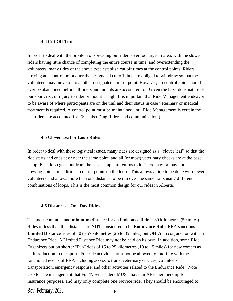#### **4.4 Cut Off Times**

In order to deal with the problem of spreading out riders over too large an area, with the slower riders having little chance of completing the entire course in time, and overextending the volunteers, many rides of the above type establish cut off times at the control points. Riders arriving at a control point after the designated cut off time are obliged to withdraw so that the volunteers may move on to another designated control point. However, no control point should ever be abandoned before all riders and mounts are accounted for. Given the hazardous nature of our sport, risk of injury to rider or mount is high. It is important that Ride Management endeavor to be aware of where participants are on the trail and their status in case veterinary or medical treatment is required. A control point must be maintained until Ride Management is certain the last riders are accounted for. (See also Drag Riders and communication.)

#### **4.5 Clover Leaf or Loop Rides**

In order to deal with these logistical issues, many rides are designed as a "clover leaf" so that the ride starts and ends at or near the same point, and all (or most) veterinary checks are at the base camp. Each loop goes out from the base camp and returns to it. There may or may not be crewing points or additional control points on the loops. This allows a ride to be done with fewer volunteers and allows more than one distance to be run over the same trails using different combinations of loops. This is the most common design for our rides in Alberta.

#### **4.6 Distances - One Day Rides**

The most common, and **minimum** distance for an Endurance Ride is 80 kilometres (50 miles). Rides of less than this distance are **NOT** considered to be **Endurance Ride**. ERA sanctions **Limited Distance** rides of 40 to 57 kilometres (25 to 35 miles) but ONLY in conjunction with an Endurance Ride. A Limited Distance Ride may not be held on its own. In addition, some Ride Organizers put on shorter "Fun" rides of 15 to 25 kilometres (10 to 15 miles) for new comers as an introduction to the sport. Fun ride activities must not be allowed to interfere with the sanctioned events of ERA including accessto trails, veterinary services, volunteers, transportation, emergency response, and other activities related to the Endurance Ride. (Note also to ride management that Fun/Novice riders MUST have an AEF membership for insurance purposes, and may only complete one Novice ride. They should be encouraged to

Rev. February,  $2022$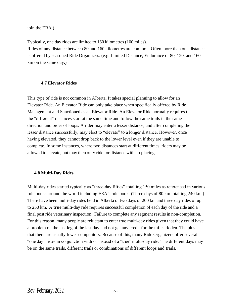join the ERA.)

Typically, one day rides are limited to 160 kilometres (100 miles).

Rides of any distance between 80 and 160 kilometres are common. Often more than one distance is offered by seasoned Ride Organizers. (e.g. Limited Distance, Endurance of 80, 120, and 160 km on the same day.)

#### **4.7 Elevator Rides**

This type of ride is not common in Alberta. It takes special planning to allow for an Elevator Ride. An Elevator Ride can only take place when specifically offered by Ride Management and Sanctioned as an Elevator Ride. An Elevator Ride normally requires that the "different" distances start at the same time and follow the same trails in the same direction and order of loops. A rider may enter a lesser distance, and after completing the lesser distance successfully, may elect to "elevate" to a longer distance. However, once having elevated, they cannot drop back to the lower level even if they are unable to complete. In some instances, where two distances start at different times, riders may be allowed to elevate, but may then only ride for distance with no placing.

#### **4.8 Multi-Day Rides**

Multi-day rides started typically as "three-day fifties" totalling 150 miles as referenced in various rule books around the world including ERA's rule book. (Three days of 80 km totalling 240 km.) There have been multi-day rides held in Alberta of two days of 200 km and three day rides of up to 250 km. A **true** multi-day ride requires successful completion of each day of the ride and a final post ride veterinary inspection. Failure to complete any segment results in non-completion. For this reason, many people are reluctant to enter true multi-day rides given that they could have a problem on the last leg of the last day and not get any credit for the miles ridden. The plus is that there are usually fewer competitors. Because of this, many Ride Organizers offer several "one day" rides in conjunction with or instead of a "true" multi-day ride. The different days may be on the same trails, different trails or combinations of different loops and trails.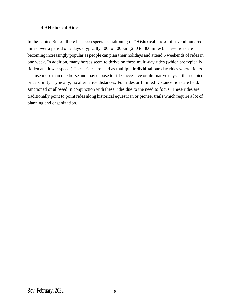#### **4.9 Historical Rides**

In the United States, there has been special sanctioning of "**Historical**" rides of several hundred miles over a period of 5 days - typically 400 to 500 km (250 to 300 miles). These rides are becoming increasingly popular as people can plan their holidays and attend 5 weekends of rides in one week. In addition, many horses seem to thrive on these multi-day rides (which are typically ridden at a lower speed.) These rides are held as multiple **individual** one day rides where riders can use more than one horse and may choose to ride successive or alternative days at their choice or capability. Typically, no alternative distances, Fun rides or Limited Distance rides are held, sanctioned or allowed in conjunction with these rides due to the need to focus. These rides are traditionally point to point rides along historical equestrian or pioneer trails which require a lot of planning and organization.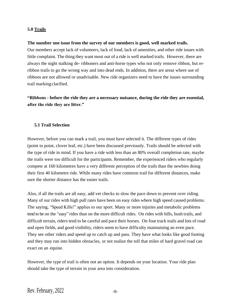#### **5.0 Trails**

#### **The number one issue from the survey of our members is good, well marked trails.**

Our members accept lack of volunteers, lack of food, lack of amenities, and other ride issues with little complaint. The thing they want most out of a ride is well marked trails. However, there are always the night stalking de- ribboners and anti-horse types who not only remove ribbon, but reribbon trails to go the wrong way and into dead ends. In addition, there are areas where use of ribbons are not allowed or unadvisable. New ride organizers need to have the issues surrounding trail marking clarified.

**"Ribbons - before the ride they are a necessary nuisance, during the ride they are essential, after the ride they are litter."**

#### **5.1 Trail Selection**

However, before you can mark a trail, you must have selected it. The different types of rides (point to point, clover leaf, etc.) have been discussed previously. Trails should be selected with the type of ride in mind. If you have a ride with less than an 80% overall completion rate, maybe the trails were too difficult for the participants. Remember, the experienced riders who regularly compete at 160 kilometres have a very different perception of the trails than the newbies doing their first 40 kilometre ride. While many rides have common trail for different distances, make sure the shorter distance has the easier trails.

Also, if all the trails are all easy, add vet checks to slow the pace down to prevent over riding. Many of our rides with high pull rates have been on easy rides where high speed caused problems. The saying, "Speed Kills!" applies to our sport. Many or more injuries and metabolic problems tend to be on the "easy" rides than on the more difficult rides. On rides with hills, bush trails, and difficult terrain, riders tend to be careful and pace their horses. On four track trails and lots of road and open fields, and good visibility, riders seem to have difficulty maintaining an even pace. They see other riders and speed up to catch up and pass. They have what looks like good footing and they may run into hidden obstacles, or not realize the toll that miles of hard gravel road can exact on an equine.

However, the type of trail is often not an option. It depends on your location. Your ride plan should take the type of terrain in your area into consideration.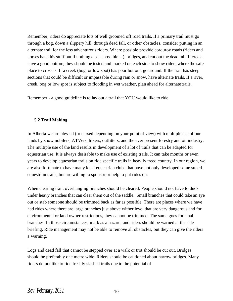Remember, riders do appreciate lots of well groomed off road trails. If a primary trail must go through a bog, down a slippery hill, through dead fall, or other obstacles, consider putting in an alternate trail for the less adventurous riders. Where possible provide corduroy roads (riders and horses hate this stuff but if nothing else is possible ...), bridges, and cut out the dead fall. If creeks have a good bottom, they should be tested and marked on each side to show riders where the safe place to cross is. If a creek (bog, or low spot) has poor bottom, go around. If the trail has steep sections that could be difficult or impassable during rain or snow, have alternate trails. If a river, creek, bog or low spot is subject to flooding in wet weather, plan ahead for alternate trails.

Remember - a good guideline is to lay out a trail that YOU would like to ride.

#### **5.2 Trail Making**

In Alberta we are blessed (or cursed depending on your point of view) with multiple use of our lands by snowmobilers, ATVers, hikers, outfitters, and the ever present forestry and oil industry. The multiple use of the land results in development of a lot of trails that can be adapted for equestrian use. It is always desirable to make use of existing trails. It can take months or even years to develop equestrian trails on ride specific trails in heavily treed country. In our region, we are also fortunate to have many local equestrian clubs that have not only developed some superb equestrian trails, but are willing to sponsor or help to put rides on.

When clearing trail, overhanging branches should be cleared. People should not have to duck under heavy branches that can clear them out of the saddle. Small branches that could take an eye out or stab someone should be trimmed back as far as possible. There are places where we have had rides where there are large branches just above wither level that are very dangerous and for environmental or land owner restrictions, they cannot be trimmed. The same goes for small branches. In those circumstances, mark as a hazard, and riders should be warned at the ride briefing. Ride management may not be able to remove all obstacles, but they can give the riders a warning.

Logs and dead fall that cannot be stepped over at a walk or trot should be cut out. Bridges should be preferably one metre wide. Riders should be cautioned about narrow bridges. Many riders do not like to ride freshly slashed trails due to the potential of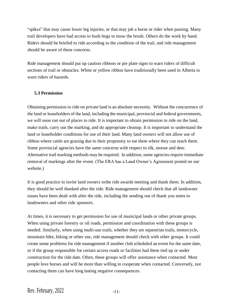"spikes" that may cause lower leg injuries, or that may jab a horse or rider when passing. Many trail developers have had access to bush hogs to mow the brush. Others do the work by hand. Riders should be briefed to ride according to the condition of the trail, and ride management should be aware of these concerns.

Ride management should put up caution ribbons or pie plate signs to warn riders of difficult sections of trail or obstacles. White or yellow ribbon have traditionally been used in Alberta to warn riders of hazards.

## **5.3 Permission**

Obtaining permission to ride on private land is an absolute necessity. Without the concurrence of the land or leaseholders of the land, including the municipal, provincial and federal governments, we will soon run out of places to ride. It is important to obtain permission to ride on the land, make trails, carry out the marking, and do appropriate cleanup. It is important to understand the land or leaseholder conditions for use of their land. Many land owners will not allow use of ribbon where cattle are grazing due to their propensity to eat them where they can reach them. Some provincial agencies have the same concerns with respect to elk, moose and deer. Alternative trail marking methods may be required. In addition, some agencies require immediate removal of markings after the event. (The ERA has a Land Owner's Agreement posted on our website.)

It is good practice to invite land owners tothe ride awards meeting and thank them. In addition, they should be well thanked after the ride. Ride management should check that all landowner issues have been dealt with after the ride, including the sending out of thank you notes to landowners and other ride sponsors.

At times, it is necessary to get permission for use of municipal lands or other private groups. When using private forestry or oil roads, permission and coordination with these groups is needed. Similarly, when using multi-use trails, whether they are equestrian trails, motorcycle, mountain bike, hiking or other use, ride management should check with other groups. It could create some problems for ride management if another club scheduled an event for the same date, or if the group responsible for certain access roads or facilities had them tied up or under construction for the ride date. Often, these groups will offer assistance when contacted. Most people love horses and will be more than willing to cooperate when contacted. Conversely, not contacting them can have long lasting negative consequences.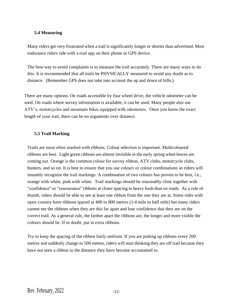#### **5.4 Measuring**

Many riders get very frustrated when a trail is significantly longer or shorter than advertised. Most endurance riders ride with a trail app on their phone or GPS device.

The best way to avoid complaints is to measure the trail accurately. There are many ways to do this. It is recommended that all trails be PHYSICALLY measured to avoid any doubt as to distance. (Remember GPS does not take into account the up and down of hills.)

There are many options. On roads accessible by four wheel drive, the vehicle odometer can be used. On roads where survey information is available, it can be used. Many people also use ATV's, motorcycles and mountain bikes equipped with odometers. Once you know the exact length of your trail, there can be no arguments over distance.

#### **5.5 Trail Marking**

Trails are most often marked with ribbons. Colour selection is important. Multicoloured ribbons are best. Light green ribbons are almost invisible in the early spring when leaves are coming out. Orange is the common colour for survey ribbon, ATV clubs, motorcycle clubs, hunters, and so on. It is best to ensure that you use colours or colour combinations so riders will instantly recognize the trail markings. A combination of two colours has proven to be best, i.e., orange with white, pink with white. Trail markings should be reasonably close together with "confidence" or "reassurance" ribbons at closer spacing in heavy bush than on roads. As a rule of thumb, riders should be able to see at least one ribbon from the one they are at. Some rides with open country have ribbons spaced at 400 to 800 metres (1/4 mile to half mile) but many riders cannot see the ribbons when they are this far apart and lose confidence that they are on the correct trail. As a general rule, the farther apart the ribbons are, the longer and more visible the colours should be. If in doubt, put in extra ribbons.

Try to keep the spacing of the ribbon fairly uniform. If you are putting up ribbons every 200 metres and suddenly change to 500 metres, riders will start thinking they are off trail because they have not seen a ribbon in the distance they have become accustomed to.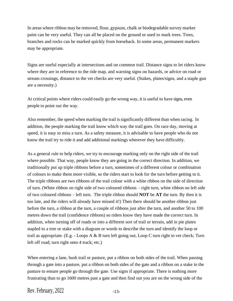In areas where ribbon may be removed, flour, gypsum, chalk or biodegradable survey marker paint can be very useful. They can all be placed on the ground or used to mark trees. Trees, branches and rocks can be marked quickly from horseback. In some areas, permanent markers may be appropriate.

Signs are useful especially at intersections and on common trail. Distance signs to let riders know where they are in reference to the ride map, and warning signs on hazards, or advice on road or stream crossings, distance to the vet checks are very useful. (Stakes, plates/signs, and a staple gun are a necessity.)

At critical points where riders could easily go the wrong way, it is useful to have signs, even people to point out the way.

Also remember, the speed when marking the trail issignificantly different than when racing. In addition, the people marking the trail know which way the trail goes. On race day, moving at speed, it is easy to miss a turn. As a safety measure, it is advisable to have people who do not know the trail try to ride it and add additional markings wherever they have difficultly.

As a general rule to help riders, we try to encourage marking only on the right side of the trail where possible. That way, people know they are going in the correct direction. In addition, we traditionally put up triple ribbons before a turn, sometimes of a different colour or combination of colours to make them more visible, so the riders start to look for the turn before getting to it. The triple ribbons are two ribbons of the trail colour with a white ribbon on the side of direction of turn. (White ribbon on right side of two coloured ribbons – right turn, white ribbon on left side of two coloured ribbons – left turn. The triple ribbon should **NOT** be **AT** the turn. By then it is too late, and the riders will already have missed it!) Then there should be another ribbon just before the turn, a ribbon at the turn, a couple of ribbons just after the turn, and another 50 to 100 metres down the trail (confidence ribbons) so riders know they have made the correct turn. In addition, when turning off of roads or into a different sort of trail or terrain, add in pie plates stapled to a tree or stake with a diagram or words to describe the turn and identify the loop or trail as appropriate. (E.g. - Loops A & B turn left going out, Loop C turn right to vet check; Turn left off road; turn right onto 4 track; etc.)

When entering a lane, bush trail or pasture, put a ribbon on both sides of the trail. When passing through a gate into a pasture, put a ribbon on both sides of the gate and a ribbon on a stake in the pasture to ensure people go through the gate. Use signs if appropriate. There is nothing more frustrating than to go 1600 metres past a gate and then find out you are on the wrong side of the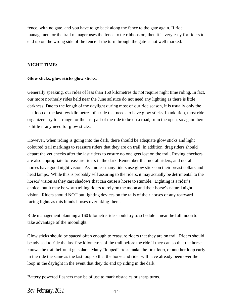fence, with no gate, and you have to go back along the fence to the gate again. If ride management or the trail manager uses the fence to tie ribbons on, then it is very easy for riders to end up on the wrong side of the fence if the turn through the gate is not well marked.

#### **NIGHT TIME:**

#### **Glow sticks, glow sticks glow sticks.**

Generally speaking, our rides of less than 160 kilometres do not require night time riding. In fact, our more northerly rides held near the June solstice do not need any lighting as there is little darkness. Due to the length of the daylight during most of our ride season, it is usually only the last loop or the last few kilometres of a ride that needs to have glow sticks. In addition, most ride organizers try to arrange for the last part of the ride to be on a road, or in the open, so again there is little if any need for glow sticks.

However, when riding is going into the dark, there should be adequate glow sticks and light coloured trail markings to reassure riders that they are on trail. In addition, drag riders should depart the vet checks after the last riders to ensure no one gets lost on the trail. Roving checkers are also appropriate to reassure riders in the dark. Remember that not all riders, and not all horses have good night vision. As a note - many riders use glow sticks on their breast collars and head lamps. While this is probably self assuring to the riders, it may actually be detrimental to the horses' vision as they cast shadows that can cause a horse to stumble. Lighting is a rider's choice, but it may be worth telling riders to rely on the moon and their horse's natural night vision. Riders should NOT put lighting devices on the tails of their horses or any rearward facing lights as this blinds horses overtaking them.

Ride management planning a 160 kilometre ride should try to schedule it near the full moon to take advantage of the moonlight.

Glow sticks should be spaced often enough to reassure riders that they are on trail. Riders should be advised to ride the last few kilometres of the trail before the ride if they can so that the horse knows the trail before it gets dark. Many "looped" rides make the first loop, or another loop early in the ride the same as the last loop so that the horse and rider will have already been over the loop in the daylight in the event that they do end up riding in the dark.

Battery powered flashers may be of use to mark obstacles or sharp turns.

Rev. February,  $2022$   $-14$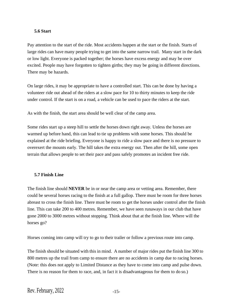## **5.6 Start**

Pay attention to the start of the ride. Most accidents happen at the start or the finish. Starts of large rides can have many people trying to get into the same narrow trail. Many start in the dark or low light. Everyone is packed together; the horses have excess energy and may be over excited. People may have forgotten to tighten girths; they may be going in different directions. There may be hazards.

On large rides, it may be appropriate to have a controlled start. This can be done by having a volunteer ride out ahead of the riders at a slow pace for 10 to thirty minutes to keep the ride under control. If the start is on a road, a vehicle can be used to pace the riders at the start.

As with the finish, the start area should be well clear of the camp area.

Some rides start up a steep hill to settle the horses down right away. Unless the horses are warmed up before hand, this can lead to tie up problems with some horses. This should be explained at the ride briefing. Everyone is happy to ride a slow pace and there is no pressure to overexert the mounts early. The hill takes the extra energy out. Then after the hill, some open terrain that allows people to set their pace and pass safely promotes an incident free ride.

## **5.7 Finish Line**

The finish line should **NEVER** be in or near the camp area or vetting area. Remember, there could be several horses racing to the finish at a full gallop. There must be room for three horses abreast to cross the finish line. There must be room to get the horses under control after the finish line. This can take 200 to 400 metres. Remember, we have seen runaways in our club that have gone 2000 to 3000 metres without stopping. Think about that at the finish line. Where will the horses go?

Horses coming into camp will try to go to their trailer or follow a previous route into camp.

The finish should be situated with this in mind. A number of major rides put the finish line 300 to 800 metres up the trail from camp to ensure there are no accidents in camp due to racing horses. (Note: this does not apply to Limited Distance as they have to come into camp and pulse down. There is no reason for them to race, and, in fact it is disadvantageous for them to do so.)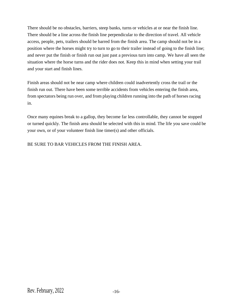There should be no obstacles, barriers, steep banks, turns or vehicles at or near the finish line. There should be a line across the finish line perpendicular to the direction of travel. All vehicle access, people, pets, trailers should be barred from the finish area. The camp should not be in a position where the horses might try to turn to go to their trailer instead of going to the finish line; and never put the finish or finish run out just past a previous turn into camp. We have all seen the situation where the horse turns and the rider does not. Keep this in mind when setting your trail and your start and finish lines.

Finish areas should not be near camp where children could inadvertently cross the trail or the finish run out. There have been some terrible accidents from vehicles entering the finish area, from spectators being run over, and from playing children running into the path of horses racing in.

Once many equines break to a gallop, they become far less controllable, they cannot be stopped or turned quickly. The finish area should be selected with this in mind. The life you save could be your own, or of your volunteer finish line timer(s) and other officials.

BE SURE TO BAR VEHICLES FROM THE FINISH AREA.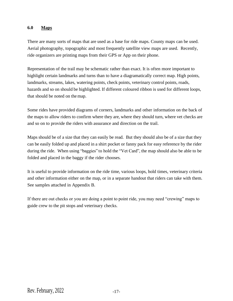## **6.0 Maps**

There are many sorts of maps that are used as a base for ride maps. County maps can be used. Aerial photography, topographic and most frequently satellite view maps are used. Recently, ride organizers are printing maps from their GPS or App on their phone.

Representation of the trail may be schematic rather than exact. It is often more important to highlight certain landmarks and turns than to have a diagramatically correct map. High points, landmarks, streams, lakes, watering points, check points, veterinary control points, roads, hazards and so on should be highlighted. If different coloured ribbon is used for different loops, that should be noted on themap.

Some rides have provided diagrams of corners, landmarks and other information on the back of the maps to allow riders to confirm where they are, where they should turn, where vet checks are and so on to provide the riders with assurance and direction on the trail.

Maps should be of a size that they can easily be read. But they should also be of a size that they can be easily folded up and placed in a shirt pocket or fanny pack for easy reference by the rider during the ride. When using "baggies" to hold the "Vet Card", the map should also be able to be folded and placed in the baggy if the rider chooses.

It is useful to provide information on the ride time, various loops, hold times, veterinary criteria and other information either on the map, or in a separate handout that riders can take with them. See samples attached in Appendix B.

If there are out checks or you are doing a point to point ride, you may need "crewing" maps to guide crew to the pit stops and veterinary checks.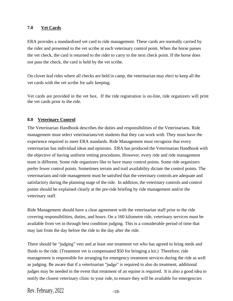## **7.0 Vet Cards**

ERA provides a standardized vet card to ride management. These cards are normally carried by the rider and presented to the vet scribe at each veterinary control point. When the horse passes the vet check, the card is returned to the rider to carry to the next check point. If the horse does not pass the check, the card is held by the vet scribe.

On clover leaf rides where all checks are held in camp, the veterinarian may elect to keep all the vet cards with the vet scribe for safe keeping.

Vet cards are provided in the vet box. If the ride registration is on-line, ride organizers will print the vet cards prior to the ride.

## **8.0 Veterinary Control**

The Veterinarian Handbook describes the duties and responsibilities of the Veterinarians. Ride management must select veterinarians/vet students that they can work with. They must have the experience required to meet ERA standards. Ride Management must recognize that every veterinarian has individual ideas and opinions. ERA has produced the Veterinarian Handbook with the objective of having uniform vetting procedures. However, every ride and ride management team is different. Some ride organizers like to have many control points. Some ride organizers prefer fewer control points. Sometimes terrain and trail availability dictate the control points. The veterinarians and ride management must be satisfied that the veterinary controls are adequate and satisfactory during the planning stage of the ride. In addition, the veterinary controls and control points should be explained clearly at the pre-ride briefing by ride management and/or the veterinary staff.

Ride Management should have a clear agreement with the veterinarian staff prior to the ride covering responsibilities, duties, and hours. On a 160 kilometre ride, veterinary services must be available from vet in through best condition judging. This is a considerable period of time that may last from the day before the ride to the day after the ride.

There should be "judging" vets and at least one treatment vet who has agreed to bring meds and fluids to the ride. (Treatment vet is compensated \$50 for bringing a kit.) Therefore, ride management is responsible for arranging for emergency treatment services during the ride as well as judging. Be aware that if a veterinarian "judge" is required to also do treatment, additional judges may be needed in the event that treatment of an equine is required. It is also a good idea to notify the closest veterinary clinic to your ride, to ensure they will be available for emergencies

Rev. February,  $2022$   $-18$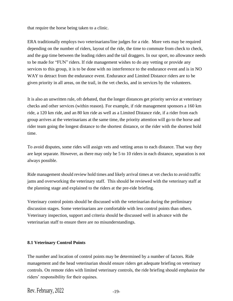that require the horse being taken to a clinic.

ERA traditionally employs two veterinarians/line judges for a ride. More vets may be required depending on the number of riders, layout of the ride, the time to commute from check to check, and the gap time between the leading riders and the tail draggers. In our sport, no allowance needs to be made for "FUN" riders. If ride management wishes to do any vetting or provide any services to this group, it is to be done with no interference to the endurance event and is in NO WAY to detract from the endurance event. Endurance and Limited Distance riders are to be given priority in all areas, on the trail, in the vet checks, and in services by the volunteers.

It is also an unwritten rule, oft debated, that the longer distances get priority service at veterinary checks and other services (within reason). For example, if ride management sponsors a 160 km ride, a 120 km ride, and an 80 km ride as well as a Limited Distance ride, if a rider from each group arrives at the veterinarians at the same time, the priority attention will go to the horse and rider team going the longest distance to the shortest distance, or the rider with the shortest hold time.

To avoid disputes, some rides will assign vets and vetting areas to each distance. That way they are kept separate. However, as there may only be 5 to 10 riders in each distance, separation is not always possible.

Ride management should review hold times and likely arrival times at vet checks to avoid traffic jams and overworking the veterinary staff. This should be reviewed with the veterinary staff at the planning stage and explained to the riders at the pre-ride briefing.

Veterinary control points should be discussed with the veterinarian during the preliminary discussion stages. Some veterinarians are comfortable with less control points than others. Veterinary inspection, support and criteria should be discussed well in advance with the veterinarian staff to ensure there are no misunderstandings.

## **8.1 Veterinary Control Points**

The number and location of control points may be determined by a number of factors. Ride management and the head veterinarian should ensure riders get adequate briefing on veterinary controls. On remote rides with limited veterinary controls, the ride briefing should emphasize the riders' responsibility for their equines.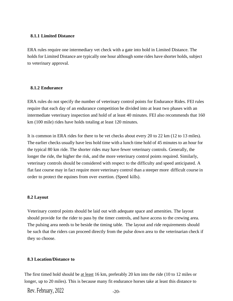#### **8.1.1 Limited Distance**

ERA rules require one intermediary vet check with a gate into hold in Limited Distance. The holds for Limited Distance are typically one hour although some rides have shorter holds, subject to veterinary approval.

#### **8.1.2 Endurance**

ERA rules do not specify the number of veterinary control points for Endurance Rides. FEI rules require that each day of an endurance competition be divided into at least two phases with an intermediate veterinary inspection and hold of at least 40 minutes. FEI also recommends that 160 km (100 mile) rides have holds totaling at least 120 minutes.

It is common in ERA rides for there to be vet checks about every 20 to 22 km (12 to 13 miles). The earlier checks usually have less hold time with a lunch time hold of 45 minutes to an hour for the typical 80 km ride. The shorter rides may have fewer veterinary controls. Generally, the longer the ride, the higher the risk, and the more veterinary control points required. Similarly, veterinary controls should be considered with respect to the difficulty and speed anticipated. A flat fast course may in fact require more veterinary control than a steeper more difficult course in order to protect the equines from over exertion. (Speed kills).

## **8.2 Layout**

Veterinary control points should be laid out with adequate space and amenities. The layout should provide for the rider to pass by the timer controls, and have access to the crewing area. The pulsing area needs to be beside the timing table. The layout and ride requirements should be such that the riders can proceed directly from the pulse down area to the veterinarian check if they so choose.

## **8.3 Location/Distance to**

The first timed hold should be <u>at least</u> 16 km, preferably 20 km into the ride (10 to 12 miles or longer, up to 20 miles). This is because many fit endurance horses take at least this distance to

Rev. February,  $2022$   $-20$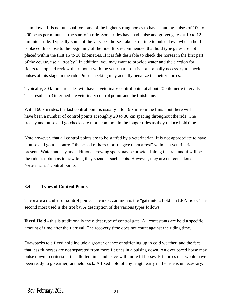calm down. It is not unusual for some of the higher strung horses to have standing pulses of 100 to 200 beats per minute at the start of a ride. Some rides have had pulse and go vet gates at 10 to 12 km into a ride. Typically some of the very best horses take extra time to pulse down when a hold is placed this close to the beginning of the ride. It is recommended that hold type gates are not placed within the first 16 to 20 kilometres. If it is felt desirable to check the horses in the first part of the course, use a "trot by". In addition, you may want to provide water and the election for riders to stop and review their mount with the veterinarian. It is not normally necessary to check pulses at this stage in the ride. Pulse checking may actually penalize the better horses.

Typically, 80 kilometre rides will have a veterinary control point at about 20 kilometre intervals. This results in 3 intermediate veterinary control points and the finish line.

With 160 km rides, the last control point is usually 8 to 16 km from the finish but there will have been a number of control points at roughly 20 to 30 km spacing throughout the ride. The trot by and pulse and go checks are more common in the longer rides as they reduce hold time.

Note however, that all control points are to be staffed by a veterinarian. It is not appropriate to have a pulse and go to "control" the speed of horses or to "give them a rest" without a veterinarian present. Water and hay and additional crewing spots may be provided along the trail and it will be the rider's option as to how long they spend at such spots. However, they are not considered 'veterinarian' control points.

#### **8.4 Types of Control Points**

There are a number of control points. The most common is the "gate into a hold" in ERA rides. The second most used is the trot by. A description of the various types follows.

**Fixed Hold** - this is traditionally the oldest type of control gate. All contestants are held a specific amount of time after their arrival. The recovery time does not count against the riding time.

Drawbacks to a fixed hold include a greater chance of stiffening up in cold weather, and the fact that less fit horses are not separated from more fit ones in a pulsing down. An over paced horse may pulse down to criteria in the allotted time and leave with more fit horses. Fit horses that would have been ready to go earlier, are held back. A fixed hold of any length early in the ride is unnecessary.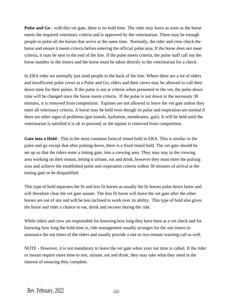**Pulse and Go** - with this vet gate, there is no hold time. The rider may leave as soon as the horse meets the required veterinary criteria and is approved by the veterinarian. There may be enough people to pulse all the horses that arrive at the same time. Normally, the rider and crew check the horse and ensure it meets criteria before entering the official pulse area. If the horse does not meet criteria, it may be sent to the end of the line. If the pulse meets criteria, the pulse staff call out the horse number to the timers and the horse must be taken directly to the veterinarian for a check.

In ERA rides we normally just send people to the back of the line. Where there are a lot of riders and insufficient pulse crews at a Pulse and Go, riders and their crews may be allowed to call their down time for their pulses. If the pulse is not at criteria when presented to the vet, the pulse down time will be changed once the horse meets criteria. If the pulse is not down in the necessary 30 minutes, it is removed from competition. Equines are not allowed to leave the vet gate unless they meet all veterinary criteria. A horse may be held even though its pulse and respiration are normal if there are other signs of problems (gut sounds, hydration, membranes, gait). It will be held until the veterinarian is satisfied it is ok to proceed, or the equine is removed from competition.

Gate into a Hold - This is the most common form of timed hold in ERA. This is similar to the pulse and go except that after pulsing down, there is a fixed timed hold. The vet gate should be set up so that the riders enter a timing gate, into a crewing area. They may stay in the crewing area working on their mount, letting it urinate, eat and drink, however they must enter the pulsing area and achieve the established pulse and respiration criteria within 30 minutes of arrival at the timing gate or be disqualified.

This type of hold separates the fit and less fit horses as usually the fit horses pulse down faster and will therefore clear the vet gate sooner. The less fit horse will leave the vet gate after the other horses are out of site and will be less inclined to work over its ability. This type of hold also gives the horse and rider a chance to eat, drink and recover during the ride.

While riders and crew are responsible for knowing how long they have been at a vet check and for knowing how long the hold time is, ride management usually arranges for the out timers to announce the out times of the riders and usually provide a one or two minute warning call as well.

NOTE - However, it is not mandatory to leave the vet gate when your out time is called. If the rider or mount require more time to rest, urinate, eat and drink, they may take what they need in the interest of ensuring they complete.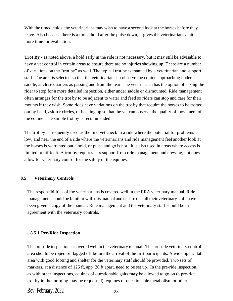With the timed holds, the veterinarians may wish to have a second look at the horses before they leave. Also because there is a timed hold after the pulse down, it gives the veterinarians a bit more time for evaluation.

**Trot By** - as noted above, a hold early in the ride is not necessary, but it may still be advisable to have a vet control in certain areas to ensure there are no injuries showing up. There are a number of variations on the "trot by" as well. The typical trot by is manned by a veterinarian and support staff. The area is selected so that the veterinarian can observe the equine approaching under saddle, at close quarters as passing and from the rear. The veterinarian has the option of asking the rider to stop for a more detailed inspection, either under saddle or dismounted. Ride management often arranges for the trot by to be adjacent to water and feed so riders can stop and care for their mounts if they wish. Some rides have variations on the trot by that require the horses to be trotted out by hand, ask for circles, or backing up so that the vet can observe the quality of movement of the equine. The simple trot by is recommended.

The trot by is frequently used as the first vet check in a ride where the potential for problems is low, and near the end of a ride where the veterinarians and ride management feel another look at the horses is warranted but a hold, or pulse and go is not. It is also used in areas where access is limited or difficult. A trot by requires less support from ride management and crewing, but does allow for veterinary control for the safety of the equines.

#### **8.5 Veterinary Controls**

The responsibilities of the veterinarians is covered well in the ERA veterinary manual. Ride management should be familiar with this manual and ensure that all their veterinary staff have been given a copy of the manual. Ride management and the veterinary staff should be in agreement with the veterinary controls.

#### **8.5.1 Pre-Ride Inspection**

The pre-ride inspection is covered well in the veterinary manual. The pre-ride veterinary control area should be roped or flagged off before the arrival of the first participants. A wide open, flat area with good footing and shelter for the veterinary staff should be provided. Two sets of markers, at a distance of 125 ft, app. 20 ft apart, need to be set up. In the pre-ride inspection, as with other inspections, equines of questionable gaits **may** be allowed to go on (a pre-ride trot by in the morning may be requested), equines of questionable metabolism or other

Rev. February,  $2022$   $-23$ -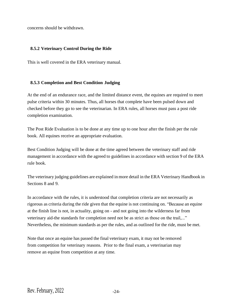concerns should be withdrawn.

#### **8.5.2 Veterinary Control During the Ride**

This is well covered in the ERA veterinary manual.

#### **8.5.3 Completion and Best Condition Judging**

At the end of an endurance race, and the limited distance event, the equines are required to meet pulse criteria within 30 minutes. Thus, all horses that complete have been pulsed down and checked before they go to see the veterinarian. In ERA rules, all horses must pass a post ride completion examination.

The Post Ride Evaluation is to be done at any time up to one hour after the finish per the rule book. All equines receive an appropriate evaluation.

Best Condition Judging will be done at the time agreed between the veterinary staff and ride management in accordance with the agreed to guidelines in accordance with section 9 of the ERA rule book.

The veterinary judging guidelines are explained in more detail in the ERA Veterinary Handbook in Sections 8 and 9.

In accordance with the rules, it is understood that completion criteria are not necessarily as rigorous as criteria during the ride given that the equine is not continuing on. "Because an equine at the finish line is not, in actuality, going on - and not going into the wilderness far from veterinary aid-the standards for completion need not be as strict as those on the trail,..." Nevertheless, the minimum standards as per the rules, and as outlined for the ride, must be met.

Note that once an equine has passed the final veterinary exam, it may not be removed from competition for veterinary reasons. Prior to the final exam, a veterinarian may remove an equine from competition at any time.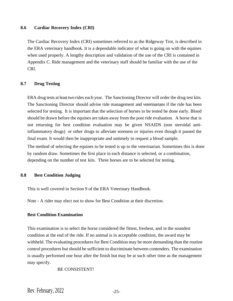#### **8.6 Cardiac Recovery Index (CRI)**

The Cardiac Recovery Index (CRI) sometimes referred to as the Ridgeway Trot, is described in the ERA veterinary handbook. It is a dependable indicator of what is going on with the equines when used properly. A lengthy description and validation of the use of the CRI is contained in Appendix C. Ride management and the veterinary staff should be familiar with the use of the CRI.

#### **8.7 Drug Testing**

ERA drug tests at least two rides each year. The Sanctioning Director will order the drug test kits. The Sanctioning Director should advise ride management and veterinarians if the ride has been selected for testing. It is important that the selection of horses to be tested be done early. Blood should be drawn before the equines are taken away from the post ride evaluation. A horse that is not returning for best condition evaluation may be given NSAIDS (non steroidal antiinflammatory drugs) or other drugs to alleviate soreness or injuries even though it passed the final exam. It would then be inappropriate and untimely to request a blood sample.

The method of selecting the equines to be tested is up to the veterinarian. Sometimes this is done by random draw. Sometimes the first place in each distance is selected, or a combination, depending on the number of test kits. Three horses are to be selected for testing.

#### **8.8 Best Condition Judging**

This is well covered in Section 9 of the ERA Veterinary Handbook.

Note - A rider may elect not to show for Best Condition at their discretion.

#### **Best Condition Examination**

This examination is to select the horse considered the fittest, freshest, and in the soundest condition at the end of the ride. If no animal is in acceptable condition, the award may be withheld. The evaluating procedures for Best Condition may be more demanding than the routine control procedures but should be sufficient to discriminate between contenders. The examination is usually performed one hour after the finish but may be at such other time as the management may specify.

#### BE CONSISTENT!

Rev. February,  $2022$   $-25$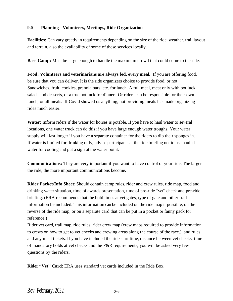#### **9.0 Planning - Volunteers, Meetings, Ride Organization**

**Facilities:** Can vary greatly in requirements depending on the size of the ride, weather, trail layout and terrain, also the availability of some of these services locally.

**Base Camp:** Must be large enough to handle the maximum crowd that could come to the ride.

**Food: Volunteers and veterinarians are always fed, every meal.** If you are offering food, be sure that you can deliver. It is the ride organizers choice to provide food, or not. Sandwiches, fruit, cookies, granola bars, etc. for lunch. A full meal, meat only with pot luck salads and desserts, or a true pot luck for dinner. Or riders can be responsible for their own lunch, or all meals. If Covid showed us anything, not providing meals has made organizing rides much easier.

**Water:** Inform riders if the water for horses is potable. If you have to haul water to several locations, one water truck can do this if you have large enough water troughs. Your water supply will last longer if you have a separate container for the riders to dip their sponges in. If water is limited for drinking only, advise participants at the ride briefing not to use hauled water for cooling and put a sign at the water point.

**Communications:** They are very important if you want to have control of your ride. The larger the ride, the more important communications become.

**Rider Packet/Info Sheet:** Should contain camp rules, rider and crew rules, ride map, food and drinking water situation, time of awards presentation, time of pre-ride "vet" check and pre-ride briefing. (ERA recommends that the hold times at vet gates, type of gate and other trail information be included. This information can be included on the ride map if possible, on the reverse of the ride map, or on a separate card that can be put in a pocket or fanny pack for reference.)

Rider vet card, trail map, ride rules, rider crew map (crew maps required to provide information to crews on how to get to vet checks and crewing areas along the course of the race.), and rules, and any meal tickets. If you have included the ride start time, distance between vet checks, time of mandatory holds at vet checks and the P&R requirements, you will be asked very few questions by the riders.

**Rider "Vet" Card:** ERA uses standard vet cards included in the Ride Box.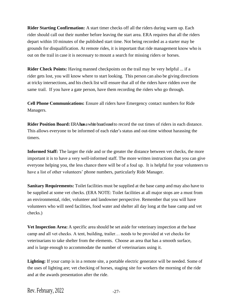**Rider Starting Confirmation:** A start timer checks off all the riders during warm up. Each rider should call out their number before leaving the start area. ERA requires that all the riders depart within 10 minutes of the published start time. Not being recorded as a starter may be grounds for disqualification. At remote rides, it is important that ride management know who is out on the trail in case it is necessary to mount a search for missing riders or horses.

**Rider Check Points:** Having manned checkpoints on the trail may be very helpful ... if a rider gets lost, you will know where to start looking. This person can also be giving directions at tricky intersections, and his check list will ensure that all of the riders have ridden over the same trail. If you have a gate person, have them recording the riders who go through.

**Cell Phone Communications:** Ensure all riders have Emergency contact numbers for Ride Managers.

**Rider Position Board:**ERA**has**a white board easel to record the out times of riders in each distance. This allows everyone to be informed of each rider's status and out-time without harassing the timers.

**Informed Staff:** The larger the ride and or the greater the distance between vet checks, the more important it is to have a very well-informed staff. The more written instructions that you can give everyone helping you, the less chance there will be of a foul up. It is helpful for your volunteers to have a list of other volunteers' phone numbers, particularly Ride Manager.

**Sanitary Requirements:** Toilet facilities must be supplied at the base camp and may also have to be supplied at some vet checks. (ERA NOTE: Toilet facilities at all major stops are a must from an environmental, rider, volunteer and landowner perspective. Remember that you will have volunteers who will need facilities, food water and shelter all day long at the base camp and vet checks.)

**Vet Inspection Area:** A specific area should be set aside for veterinary inspection at the base camp and all vet checks. A tent, building, trailer… needs to be provided at vet checks for veterinarians to take shelter from the elements. Choose an area that has a smooth surface, and is large enough to accommodate the number of veterinarians using it.

Lighting: If your camp is in a remote site, a portable electric generator will be needed. Some of the uses of lighting are; vet checking of horses, staging site for workers the morning of the ride and at the awards presentation after the ride.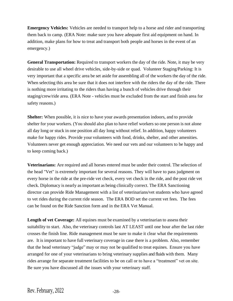**Emergency Vehicles:** Vehicles are needed to transport help to a horse and rider and transporting them back to camp. (ERA Note: make sure you have adequate first aid equipment on hand. In addition, make plans for how to treat and transport both people and horses in the event of an emergency.)

**General Transportation:** Required to transport workers the day of the ride. Note, it may be very desirable to use all wheel drive vehicles, side-by-side or quad. Volunteer Staging/Parking: It is very important that a specific area be set aside for assembling all of the workers the day of the ride. When selecting this area be sure that it does not interfere with the riders the day of the ride. There is nothing more irritating to the riders than having a bunch of vehicles drive through their staging/crew/ride area. (ERA Note - vehicles must be excluded from the start and finish area for safety reasons.)

**Shelter:** When possible, it is nice to have your awards presentation indoors, and to provide shelter for your workers. (You should also plan to have relief workers so one person is not alone all day long or stuck in one position all day long without relief. In addition, happy volunteers make for happy rides. Provide your volunteers with food, drinks, shelter, and other amenities. Volunteers never get enough appreciation. We need our vets and our volunteers to be happy and to keep coming back.)

**Veterinarians:** Are required and all horses entered must be under their control. The selection of the head "Vet" is extremely important for several reasons. They will have to pass judgment on every horse in the ride at the pre-ride vet check, every vet check in the ride, and the post ride vet check. Diplomacy is nearly asimportant as being clinically correct. The ERA Sanctioning director can provide Ride Management with a list of veterinarians/vet students who have agreed to vet rides during the current ride season. The ERA BOD set the current vet fees. The fees can be found on the Ride Sanction form and in the ERA Vet Manual.

Length of vet Coverage: All equines must be examined by a veterinarian to assess their suitability to start. Also, the veterinary controls last AT LEAST until one hour after the last rider crosses the finish line. Ride management must be sure to make it clear what the requirements are. It is important to have full veterinary coverage in case there is a problem. Also, remember that the head veterinary "judge" may or may not be qualified to treat equines. Ensure you have arranged for one of your veterinarians to bring veterinary supplies and fluids with them. Many rides arrange for separate treatment facilities to be on call or to have a "treatment" vet on site. Be sure you have discussed all the issues with your veterinary staff.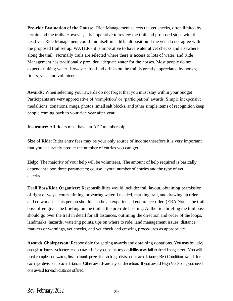**Pre-ride Evaluation of the Course:** Ride Management selects the vet checks, often limited by terrain and the trails. However, it is imperative to review the trail and proposed stops with the head vet. Ride Management could find itself in a difficult position if the vets do not agree with the proposed trail set up. WATER - it is imperative to have water at vet checks and elsewhere along the trail. Normally trails are selected where there is access to lots of water, and Ride Management has traditionally provided adequate water for the horses. Most people do not expect drinking water. However, food and drinks on the trail is greatly appreciated by horses, riders, vets, and volunteers.

**Awards:** When selecting your awards do not forget that you must stay within your budget Participants are very appreciative of 'completion' or 'participation' awards. Simple inexpensive medallions, donations, mugs, photos, small salt blocks, and other simple items of recognition keep people coming back to your ride year after year.

**Insurance:** All riders must have an AEF membership.

**Size of Ride:** Rider entry fees may be your only source of income therefore it is very important that you accurately predict the number of entries you can get.

**Help:** The majority of your help will be volunteers. The amount of help required is basically dependent upon three parameters; course layout, number of entries and the type of vet checks.

**Trail Boss/Ride Organizer:** Responsibilities would include: trail layout, obtaining permission of right of ways, course timing, procuring water if needed, marking trail, and drawing up rider and crew maps. This person should also be an experienced endurance rider. (ERA Note - the trail boss often gives the briefing on the trail at the pre-ride briefing. At the ride briefing the trail boss should go over the trail in detail for all distances, outlining the direction and order of the loops, landmarks, hazards, watering points, tips on where to ride, land management issues, distance markers or warnings, vet checks, and vet check and crewing procedures as appropriate.

**Awards Chairperson:** Responsible for getting awards and obtaining donations. You may be lucky enough to have a volunteer collect awards for you, or this responsibility may fall to the ride organizer. You will need completion awards, first to fourth prizes for each age division in each distance, Best Condition awards for each age division in each distance. Other awards are at your discretion. If you award High Vet Score, you need one award for each distance offered.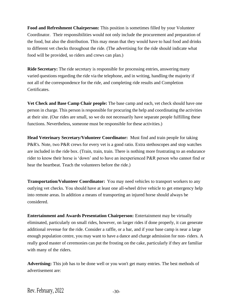**Food and Refreshment Chairperson:** This position is sometimes filled by your Volunteer Coordinator. Their responsibilities would not only include the procurement and preparation of the food, but also the distribution. This may mean that they would have to haul food and drinks to different vet checks throughout the ride. (The advertising for the ride should indicate what food will be provided, so riders and crews can plan.)

**Ride Secretary:** The ride secretary is responsible for processing entries, answering many varied questions regarding the ride via the telephone, and in writing, handling the majority if not all of the correspondence for the ride, and completing ride results and Completion Certificates.

**Vet Check and Base Camp Chair people:** The base camp and each, vet check should have one person in charge. This person isresponsible for procuring the help and coordinating the activities at their site. (Our rides are small, so we do not necessarily have separate people fulfilling these functions. Nevertheless, someone must be responsible for these activities.)

**Head Veterinary Secretary/Volunteer Coordinator:** Must find and train people for taking P&R's. Note, two P&R crews for every vet is a good ratio. Extra stethoscopes and stop watches are included in the ride box. (Train, train, train. There is nothing more frustrating to an endurance rider to know their horse is 'down' and to have an inexperienced P&R person who cannot find or hear the heartbeat. Teach the volunteers before the ride.)

**Transportation/Volunteer Coordinator:** You may need vehicles to transport workers to any outlying vet checks. You should have at least one all-wheel drive vehicle to get emergency help into remote areas. In addition a means of transporting an injured horse should always be considered.

**Entertainment and Awards Presentation Chairperson:** Entertainment may be virtually eliminated, particularly on small rides, however, on larger rides if done properly, it can generate additional revenue for the ride. Consider a raffle, or a bar, and if your base camp is near a large enough population centre, you may want to have a dance and charge admission for non- riders. A really good master of ceremonies can put the frosting on the cake, particularly if they are familiar with many of the riders.

**Advertising:** This job has to be done well or you won't get many entries. The best methods of advertisement are: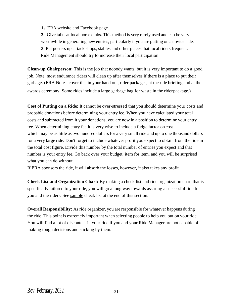**1.** ERA website and Facebook page

**2.** Give talks at local horse clubs. This method is very rarely used and can be very worthwhile in generating new entries, particularly if you are putting on a novice ride. **3**. Put posters up at tack shops, stables and other places that local riders frequent. Ride Management should try to increase their local participation

**Clean-up Chairperson:** This is the job that nobody wants, but it is very important to do a good job. Note, most endurance riders will clean up after themselves if there is a place to put their garbage. (ERA Note - cover this in your hand out, rider packages, at the ride briefing and at the awards ceremony. Some rides include a large garbage bag for waste in the riderpackage.)

**Cost of Putting on a Ride:** It cannot be over-stressed that you should determine your costs and probable donations before determining your entry fee. When you have calculated your total costs and subtracted from it your donations, you are now in a position to determine your entry fee. When determining entry fee it is very wise to include a fudge factor on cost which may be as little as two hundred dollars for a very small ride and up to one thousand dollars for a very large ride. Don't forget to include whatever profit you expect to obtain from the ride in the total cost figure. Divide this number by the total number of entries you expect and that number is your entry fee. Go back over your budget, item for item, and you will be surprised what you can do without.

If ERA sponsors the ride, it will absorb the losses, however, it also takes any profit.

**Cheek List and Organization Chart:** By making a check list and ride organization chart that is specifically tailored to your ride, you will go a long way towards assuring a successful ride for you and the riders. See sample check list at the end of this section.

**Overall Responsibility:** As ride organizer, you are responsible for whatever happens during the ride. This point is extremely important when selecting people to help you put on your ride. You will find a lot of discontent in your ride if you and your Ride Manager are not capable of making tough decisions and sticking by them.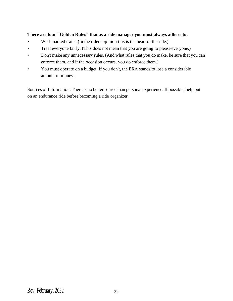## **There are four "Golden Rules" that as a ride manager you must always adhere to:**

- Well-marked trails. (In the riders opinion this is the heart of the ride.)
- Treat everyone fairly. (This does not mean that you are going to please everyone.)
- Don't make any unnecessary rules. (And what rules that you do make, be sure that you can enforce them, and if the occasion occurs, you do enforce them.)
- You must operate on a budget. If you don't, the ERA stands to lose a considerable amount of money.

Sources of Information: There is no better source than personal experience. If possible, help put on an endurance ride before becoming a ride organizer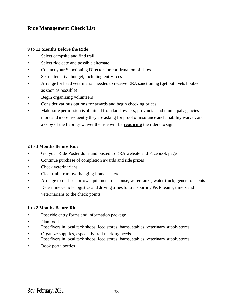## **Ride Management Check List**

#### **9 to 12 Months Before the Ride**

- Select campsite and find trail
- Select ride date and possible alternate
- Contact your Sanctioning Director for confirmation of dates
- Set up tentative budget, including entry fees
- Arrange for head veterinarian needed to receive ERA sanctioning (get both vets booked as soon as possible)
- Begin organizing volunteers
- Consider various options for awards and begin checking prices
- Make sure permission is obtained from land owners, provincial and municipal agencies more and more frequently they are asking for proof of insurance and a liability waiver, and a copy of the liability waiver the ride will be **requiring** the riders to sign.

## **2 to 3 Months Before Ride**

- Get your Ride Poster done and posted to ERA website and Facebook page
- Continue purchase of completion awards and ride prizes
- Check veterinarians
- Clear trail, trim overhanging branches, etc.
- Arrange to rent or borrow equipment, outhouse, water tanks, water truck, generator, tents
- Determine vehicle logistics and driving times for transporting P&R teams, timers and veterinarians to the check points

## **1 to 2 Months Before Ride**

- Post ride entry forms and information package
- Plan food
- Post flyers in local tack shops, feed stores, barns, stables, veterinary supply stores
- Organize supplies, especially trail marking needs
- Post flyers in local tack shops, feed stores, barns, stables, veterinary supply stores
- Book porta potties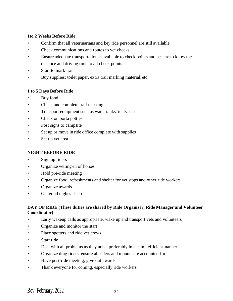#### **1to 2 Weeks Before Ride**

- Confirm that all veterinarians and key ride personnel are still available
- Check communications and routes to vet checks
- Ensure adequate transportation is available to check points and be sure to know the distance and driving time to all check points
- Start to mark trail
- Buy supplies: toilet paper, extra trail marking material, etc.

## **1 to 5 Days Before Ride**

- Buy food
- Check and complete trail marking
- Transport equipment such as water tanks, tents, etc.
- Check on porta potties
- Post signs to campsite
- Set up or move in ride office complete with supplies
- Set up vet area

## **NIGHT BEFORE RIDE**

- Sign up riders
- Organize vetting-in of horses
- Hold pre-ride meeting
- Organize food, refreshments and shelter for vet stops and other ride workers
- Organize awards
- Get good night's sleep

## **DAY OF RIDE (These duties are shared by Ride Organizer, Ride Manager and Volunteer Coordinator)**

- Early wakeup calls as appropriate, wake up and transport vets and volunteers
- Organize and monitor the start
- Place spotters and ride vet crews
- Start ride
- Deal with all problems as they arise, preferably in a calm, efficient manner
- Organize drag riders, ensure all riders and mounts are accounted for
- Have post-ride meeting, give out awards
- Thank everyone for coming, especially ride workers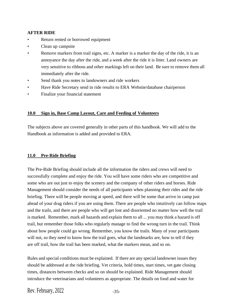## **AFTER RIDE**

- Return rented or borrowed equipment
- Clean up campsite
- Remove markers from trail signs, etc. A marker is a marker the day of the ride, it is an annoyance the day after the ride, and a week after the ride it is litter. Land owners are very sensitive to ribbons and other markings left on their land. Be sure to remove them all immediately after the ride.
- Send thank you notes to landowners and ride workers
- Have Ride Secretary send in ride results to ERA Website/database chairperson
- Finalize your financial statement

## **10.0 Sign in, Base Camp Layout, Care and Feeding of Volunteers**

The subjects above are covered generally in other parts of this handbook. We will add to the Handbook as information is added and provided to ERA.

## **11.0 Pre-Ride Briefing**

The Pre-Ride Briefing should include all the information the riders and crews will need to successfully complete and enjoy the ride. You will have some riders who are competitive and some who are out just to enjoy the scenery and the company of other riders and horses. Ride Management should consider the needs of all participants when planning their rides and the ride briefing. There will be people moving at speed, and there will be some that arrive in camp just ahead of your drag riders if you are using them. There are people who intuitively can follow maps and the trails, and there are people who will get lost and disoriented no matter how well the trail is marked. Remember, mark all hazards and explain them to all ... you may think a hazard is off trail, but remember those folks who regularly manage to find the wrong turn in the trail. Think about how people could go wrong. Remember, you know the trails. Many of your participants will not, so they need to know how the trail goes, what the landmarks are, how to tell if they are off trail, how the trail has been marked, what the markers mean, and so on.

Rules and special conditions must be explained. If there are any special landowner issues they should be addressed at the ride briefing. Vet criteria, hold times, start times, vet gate closing times, distances between checks and so on should be explained. Ride Management should introduce the veterinarians and volunteers as appropriate. The details on food and water for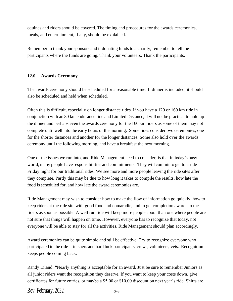equines and riders should be covered. The timing and procedures for the awards ceremonies, meals, and entertainment, if any, should be explained.

Remember to thank your sponsors and if donating funds to a charity, remember to tell the participants where the funds are going. Thank your volunteers. Thank the participants.

#### **12.0 Awards Ceremony**

The awards ceremony should be scheduled for a reasonable time. If dinner is included, it should also be scheduled and held when scheduled.

Often this is difficult, especially on longer distance rides. If you have a 120 or 160 km ride in conjunction with an 80 km endurance ride and Limited Distance, it will not be practical to hold up the dinner and perhaps even the awards ceremony for the 160 km riders as some of them may not complete until well into the early hours of the morning. Some rides consider two ceremonies, one for the shorter distances and another for the longer distances. Some also hold over the awards ceremony until the following morning, and have a breakfast the next morning.

One of the issues we run into, and Ride Management need to consider, is that in today's busy world, many people have responsibilities and commitments. They will commit to get to a ride Friday night for our traditional rides. We see more and more people leaving the ride sites after they complete. Partly this may be due to how long it takes to compile the results, how late the food is scheduled for, and how late the award ceremonies are.

Ride Management may wish to consider how to make the flow of information go quickly, how to keep riders at the ride site with good food and comaradie, and to get completion awards to the riders as soon as possible. A well run ride will keep more people about than one where people are not sure that things will happen on time. However, everyone has to recognize that today, not everyone will be able to stay for all the activities. Ride Management should plan accordingly.

Award ceremonies can be quite simple and still be effective. Try to recognize everyone who participated in the ride - finishers and hard luck participants, crews, volunteers, vets. Recognition keeps people coming back.

Randy Eiland: "Nearly anything is acceptable for an award. Just be sure to remember Juniors as all junior riders want the recognition they deserve. If you want to keep your costs down, give certificates for future entries, or maybe a \$5.00 or \$10.00 discount on next year's ride. Shirts are

Rev. February,  $2022$   $-36$